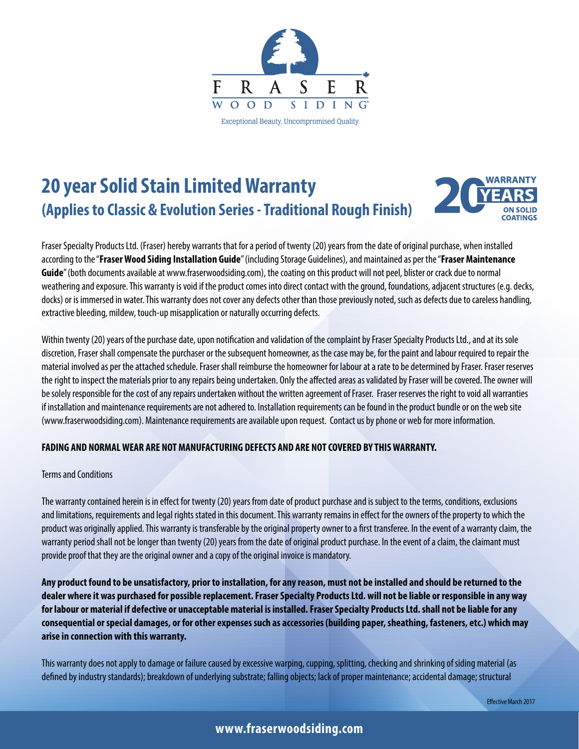

# **20 year Solid Stain Limited Warranty (Applies to Classic & Evolution Series - Traditional Rough Finish)**



Fraser Specialty Products Ltd. (Fraser) hereby warrants that for a period of twenty (20) years from the date of original purchase, when installed according to the "**Fraser Wood Siding Installation Guide**" (including Storage Guidelines), and maintained as per the "**Fraser Maintenance Guide**" (both documents available at www.fraserwoodsiding.com), the coating on this product will not peel, blister or crack due to normal weathering and exposure. This warranty is void if the product comes into direct contact with the ground, foundations, adjacent structures (e.g. decks, docks) or is immersed in water. This warranty does not cover any defects other than those previously noted, such as defects due to careless handling, extractive bleeding, mildew, touch-up misapplication or naturally occurring defects.

Within twenty (20) years of the purchase date, upon notification and validation of the complaint by Fraser Specialty Products Ltd., and at its sole discretion, Fraser shall compensate the purchaser or the subsequent homeowner, as the case may be, for the paint and labour required to repair the material involved as per the attached schedule. Fraser shall reimburse the homeowner for labour at a rate to be determined by Fraser. Fraser reserves the right to inspect the materials prior to any repairs being undertaken. Only the affected areas as validated by Fraser will be covered. The owner will be solely responsible for the cost of any repairs undertaken without the written agreement of Fraser. Fraser reserves the right to void all warranties if installation and maintenance requirements are not adhered to. Installation requirements can be found in the product bundle or on the web site (www.fraserwoodsiding.com). Maintenance requirements are available upon request. Contact us by phone or web for more information.

#### **FADING AND NORMAL WEAR ARE NOT MANUFACTURING DEFECTS AND ARE NOT COVERED BY THIS WARRANTY.**

#### Terms and Conditions

The warranty contained herein is in effect for twenty (20) years from date of product purchase and is subject to the terms, conditions, exclusions and limitations, requirements and legal rights stated in this document. This warranty remains in effect for the owners of the property to which the product was originally applied. This warranty is transferable by the original property owner to a first transferee. In the event of a warranty claim, the warranty period shall not be longer than twenty (20) years from the date of original product purchase. In the event of a claim, the claimant must provide proof that they are the original owner and a copy of the original invoice is mandatory.

**Any product found to be unsatisfactory, prior to installation, for any reason, must not be installed and should be returned to the dealer where it was purchased for possible replacement. Fraser Specialty Products Ltd. will not be liable or responsible in any way for labour or material if defective or unacceptable material is installed. Fraser Specialty Products Ltd. shall not be liable for any consequential or special damages, or for other expenses such as accessories (building paper, sheathing, fasteners, etc.) which may arise in connection with this warranty.**

This warranty does not apply to damage or failure caused by excessive warping, cupping, splitting, checking and shrinking of siding material (as defined by industry standards); breakdown of underlying substrate; falling objects; lack of proper maintenance; accidental damage; structural

# **www.fraserwoodsiding.com**